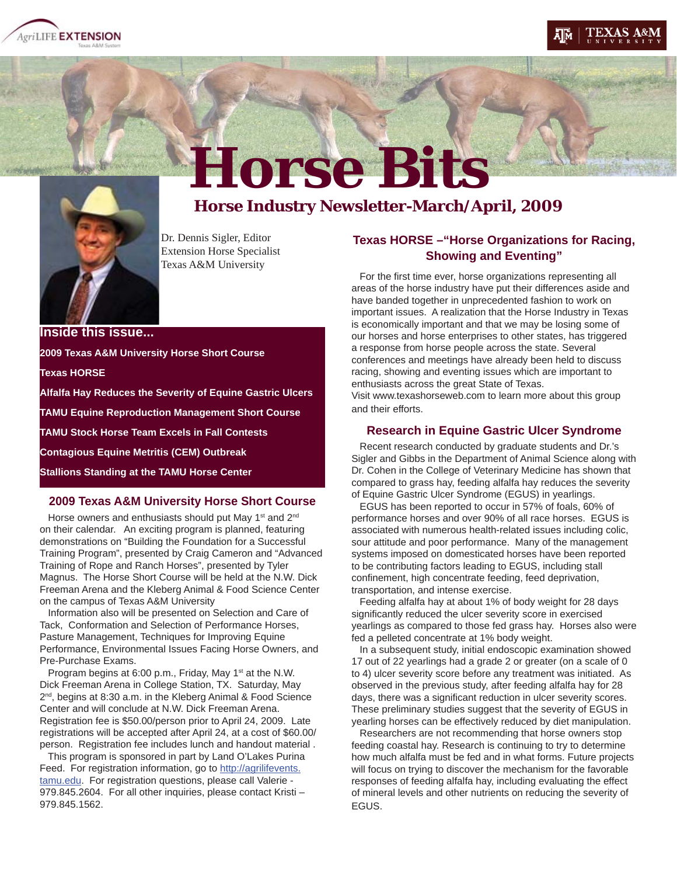





# Horse Bits<br>Horse Industry Newsletter-March/April, 2009

Dr. Dennis Sigler, Editor Extension Horse Specialist Texas A&M University

# **Texas HORSE –"Horse Organizations for Racing, Showing and Eventing"**

For the first time ever, horse organizations representing all areas of the horse industry have put their differences aside and have banded together in unprecedented fashion to work on important issues. A realization that the Horse Industry in Texas is economically important and that we may be losing some of our horses and horse enterprises to other states, has triggered a response from horse people across the state. Several conferences and meetings have already been held to discuss racing, showing and eventing issues which are important to enthusiasts across the great State of Texas. Visit www.texashorseweb.com to learn more about this group and their efforts.

### **Research in Equine Gastric Ulcer Syndrome**

 Recent research conducted by graduate students and Dr.'s Sigler and Gibbs in the Department of Animal Science along with Dr. Cohen in the College of Veterinary Medicine has shown that compared to grass hay, feeding alfalfa hay reduces the severity of Equine Gastric Ulcer Syndrome (EGUS) in yearlings.

 EGUS has been reported to occur in 57% of foals, 60% of performance horses and over 90% of all race horses. EGUS is associated with numerous health-related issues including colic, sour attitude and poor performance. Many of the management systems imposed on domesticated horses have been reported to be contributing factors leading to EGUS, including stall confinement, high concentrate feeding, feed deprivation, transportation, and intense exercise.

 Feeding alfalfa hay at about 1% of body weight for 28 days significantly reduced the ulcer severity score in exercised yearlings as compared to those fed grass hay. Horses also were fed a pelleted concentrate at 1% body weight.

 In a subsequent study, initial endoscopic examination showed 17 out of 22 yearlings had a grade 2 or greater (on a scale of 0 to 4) ulcer severity score before any treatment was initiated. As observed in the previous study, after feeding alfalfa hay for 28 days, there was a significant reduction in ulcer severity scores. These preliminary studies suggest that the severity of EGUS in yearling horses can be effectively reduced by diet manipulation.

 Researchers are not recommending that horse owners stop feeding coastal hay. Research is continuing to try to determine how much alfalfa must be fed and in what forms. Future projects will focus on trying to discover the mechanism for the favorable responses of feeding alfalfa hay, including evaluating the effect of mineral levels and other nutrients on reducing the severity of EGUS.

**Inside this issue... 2009 Texas A&M University Horse Short Course Texas HORSE Alfalfa Hay Reduces the Severity of Equine Gastric Ulcers TAMU Equine Reproduction Management Short Course TAMU Stock Horse Team Excels in Fall Contests Contagious Equine Metritis (CEM) Outbreak Stallions Standing at the TAMU Horse Center**

Horse owners and enthusiasts should put May 1<sup>st</sup> and 2<sup>nd</sup> on their calendar. An exciting program is planned, featuring demonstrations on "Building the Foundation for a Successful Training Program", presented by Craig Cameron and "Advanced Training of Rope and Ranch Horses", presented by Tyler Magnus. The Horse Short Course will be held at the N.W. Dick Freeman Arena and the Kleberg Animal & Food Science Center on the campus of Texas A&M University

**2009 Texas A&M University Horse Short Course**

 Information also will be presented on Selection and Care of Tack, Conformation and Selection of Performance Horses, Pasture Management, Techniques for Improving Equine Performance, Environmental Issues Facing Horse Owners, and Pre-Purchase Exams.

Program begins at 6:00 p.m., Friday, May 1<sup>st</sup> at the N.W. Dick Freeman Arena in College Station, TX. Saturday, May 2<sup>nd</sup>, begins at 8:30 a.m. in the Kleberg Animal & Food Science Center and will conclude at N.W. Dick Freeman Arena. Registration fee is \$50.00/person prior to April 24, 2009. Late registrations will be accepted after April 24, at a cost of \$60.00/ person. Registration fee includes lunch and handout material .

 This program is sponsored in part by Land O'Lakes Purina Feed. For registration information, go to http://agrilifevents. tamu.edu. For registration questions, please call Valerie - 979.845.2604. For all other inquiries, please contact Kristi – 979.845.1562.